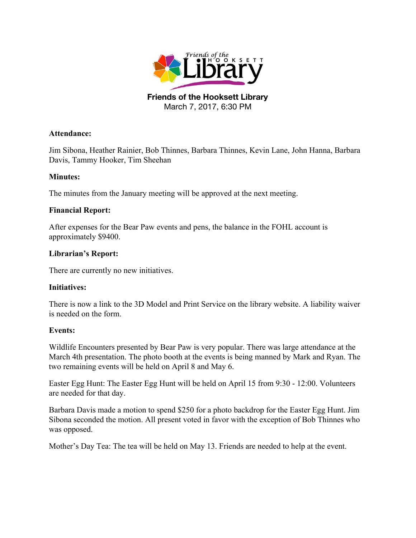

## **Attendance:**

Jim Sibona, Heather Rainier, Bob Thinnes, Barbara Thinnes, Kevin Lane, John Hanna, Barbara Davis, Tammy Hooker, Tim Sheehan

## **Minutes:**

The minutes from the January meeting will be approved at the next meeting.

## **Financial Report:**

After expenses for the Bear Paw events and pens, the balance in the FOHL account is approximately \$9400.

## **Librarian's Report:**

There are currently no new initiatives.

#### **Initiatives:**

There is now a link to the 3D Model and Print Service on the library website. A liability waiver is needed on the form.

#### **Events:**

Wildlife Encounters presented by Bear Paw is very popular. There was large attendance at the March 4th presentation. The photo booth at the events is being manned by Mark and Ryan. The two remaining events will be held on April 8 and May 6.

Easter Egg Hunt: The Easter Egg Hunt will be held on April 15 from 9:30 - 12:00. Volunteers are needed for that day.

Barbara Davis made a motion to spend \$250 for a photo backdrop for the Easter Egg Hunt. Jim Sibona seconded the motion. All present voted in favor with the exception of Bob Thinnes who was opposed.

Mother's Day Tea: The tea will be held on May 13. Friends are needed to help at the event.